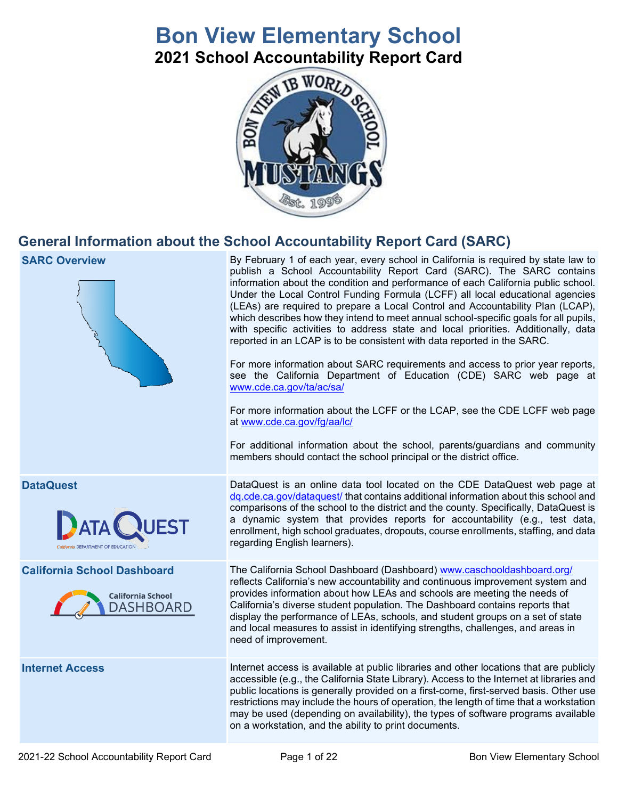# **Bon View Elementary School**

**2021 School Accountability Report Card**



### **General Information about the School Accountability Report Card (SARC)**

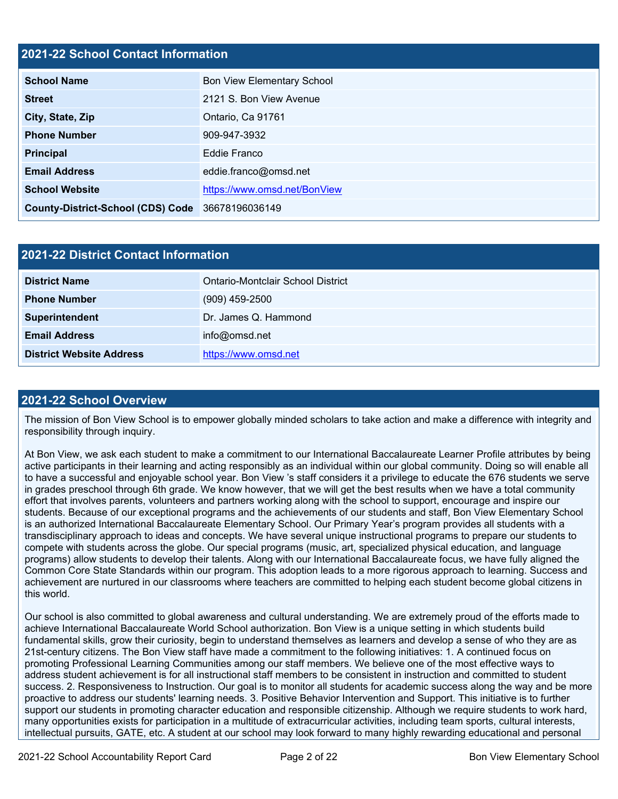#### **2021-22 School Contact Information**

| <b>School Name</b>                               | <b>Bon View Elementary School</b> |  |  |  |  |
|--------------------------------------------------|-----------------------------------|--|--|--|--|
| <b>Street</b>                                    | 2121 S. Bon View Avenue           |  |  |  |  |
| City, State, Zip                                 | Ontario, Ca 91761                 |  |  |  |  |
| <b>Phone Number</b>                              | 909-947-3932                      |  |  |  |  |
| <b>Principal</b>                                 | Eddie Franco                      |  |  |  |  |
| <b>Email Address</b>                             | eddie.franco@omsd.net             |  |  |  |  |
| <b>School Website</b>                            | https://www.omsd.net/BonView      |  |  |  |  |
| County-District-School (CDS) Code 36678196036149 |                                   |  |  |  |  |

| 2021-22 District Contact Information |                                   |  |  |
|--------------------------------------|-----------------------------------|--|--|
| <b>District Name</b>                 | Ontario-Montclair School District |  |  |
| <b>Phone Number</b>                  | $(909)$ 459-2500                  |  |  |
| Superintendent                       | Dr. James Q. Hammond              |  |  |
| <b>Email Address</b>                 | info@omsd.net                     |  |  |
| <b>District Website Address</b>      | https://www.omsd.net              |  |  |

#### **2021-22 School Overview**

The mission of Bon View School is to empower globally minded scholars to take action and make a difference with integrity and responsibility through inquiry.

At Bon View, we ask each student to make a commitment to our International Baccalaureate Learner Profile attributes by being active participants in their learning and acting responsibly as an individual within our global community. Doing so will enable all to have a successful and enjoyable school year. Bon View 's staff considers it a privilege to educate the 676 students we serve in grades preschool through 6th grade. We know however, that we will get the best results when we have a total community effort that involves parents, volunteers and partners working along with the school to support, encourage and inspire our students. Because of our exceptional programs and the achievements of our students and staff, Bon View Elementary School is an authorized International Baccalaureate Elementary School. Our Primary Year's program provides all students with a transdisciplinary approach to ideas and concepts. We have several unique instructional programs to prepare our students to compete with students across the globe. Our special programs (music, art, specialized physical education, and language programs) allow students to develop their talents. Along with our International Baccalaureate focus, we have fully aligned the Common Core State Standards within our program. This adoption leads to a more rigorous approach to learning. Success and achievement are nurtured in our classrooms where teachers are committed to helping each student become global citizens in this world.

Our school is also committed to global awareness and cultural understanding. We are extremely proud of the efforts made to achieve International Baccalaureate World School authorization. Bon View is a unique setting in which students build fundamental skills, grow their curiosity, begin to understand themselves as learners and develop a sense of who they are as 21st-century citizens. The Bon View staff have made a commitment to the following initiatives: 1. A continued focus on promoting Professional Learning Communities among our staff members. We believe one of the most effective ways to address student achievement is for all instructional staff members to be consistent in instruction and committed to student success. 2. Responsiveness to Instruction. Our goal is to monitor all students for academic success along the way and be more proactive to address our students' learning needs. 3. Positive Behavior Intervention and Support. This initiative is to further support our students in promoting character education and responsible citizenship. Although we require students to work hard, many opportunities exists for participation in a multitude of extracurricular activities, including team sports, cultural interests, intellectual pursuits, GATE, etc. A student at our school may look forward to many highly rewarding educational and personal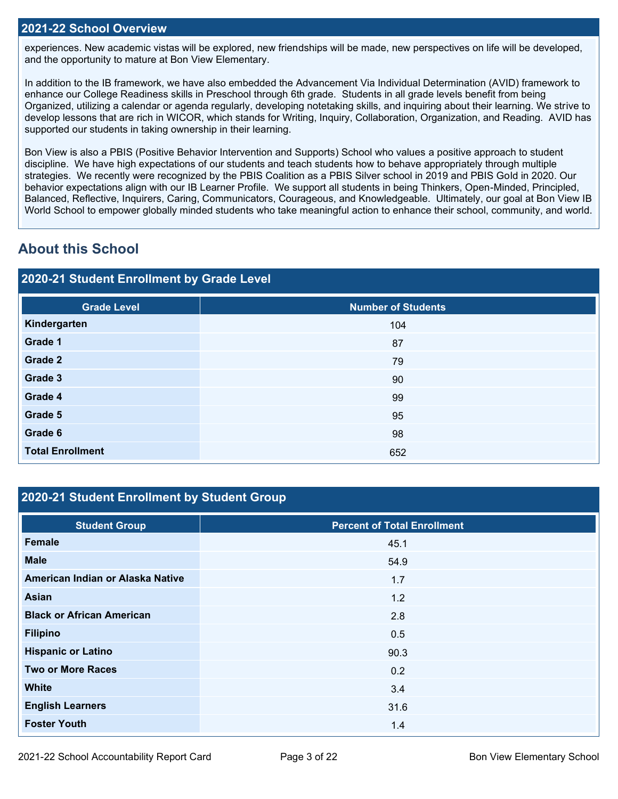experiences. New academic vistas will be explored, new friendships will be made, new perspectives on life will be developed, and the opportunity to mature at Bon View Elementary.

In addition to the IB framework, we have also embedded the Advancement Via Individual Determination (AVID) framework to enhance our College Readiness skills in Preschool through 6th grade. Students in all grade levels benefit from being Organized, utilizing a calendar or agenda regularly, developing notetaking skills, and inquiring about their learning. We strive to develop lessons that are rich in WICOR, which stands for Writing, Inquiry, Collaboration, Organization, and Reading. AVID has supported our students in taking ownership in their learning.

Bon View is also a PBIS (Positive Behavior Intervention and Supports) School who values a positive approach to student discipline. We have high expectations of our students and teach students how to behave appropriately through multiple strategies. We recently were recognized by the PBIS Coalition as a PBIS Silver school in 2019 and PBIS Gold in 2020. Our behavior expectations align with our IB Learner Profile. We support all students in being Thinkers, Open-Minded, Principled, Balanced, Reflective, Inquirers, Caring, Communicators, Courageous, and Knowledgeable. Ultimately, our goal at Bon View IB World School to empower globally minded students who take meaningful action to enhance their school, community, and world.

### **About this School**

#### **2020-21 Student Enrollment by Grade Level**

| <b>Grade Level</b>      | <b>Number of Students</b> |
|-------------------------|---------------------------|
| Kindergarten            | 104                       |
| Grade 1                 | 87                        |
| Grade 2                 | 79                        |
| Grade 3                 | 90                        |
| Grade 4                 | 99                        |
| Grade 5                 | 95                        |
| Grade 6                 | 98                        |
| <b>Total Enrollment</b> | 652                       |

#### **2020-21 Student Enrollment by Student Group**

| <b>Student Group</b>             | <b>Percent of Total Enrollment</b> |
|----------------------------------|------------------------------------|
| <b>Female</b>                    | 45.1                               |
| <b>Male</b>                      | 54.9                               |
| American Indian or Alaska Native | 1.7                                |
| Asian                            | 1.2                                |
| <b>Black or African American</b> | 2.8                                |
| <b>Filipino</b>                  | 0.5                                |
| <b>Hispanic or Latino</b>        | 90.3                               |
| <b>Two or More Races</b>         | 0.2                                |
| <b>White</b>                     | 3.4                                |
| <b>English Learners</b>          | 31.6                               |
| <b>Foster Youth</b>              | 1.4                                |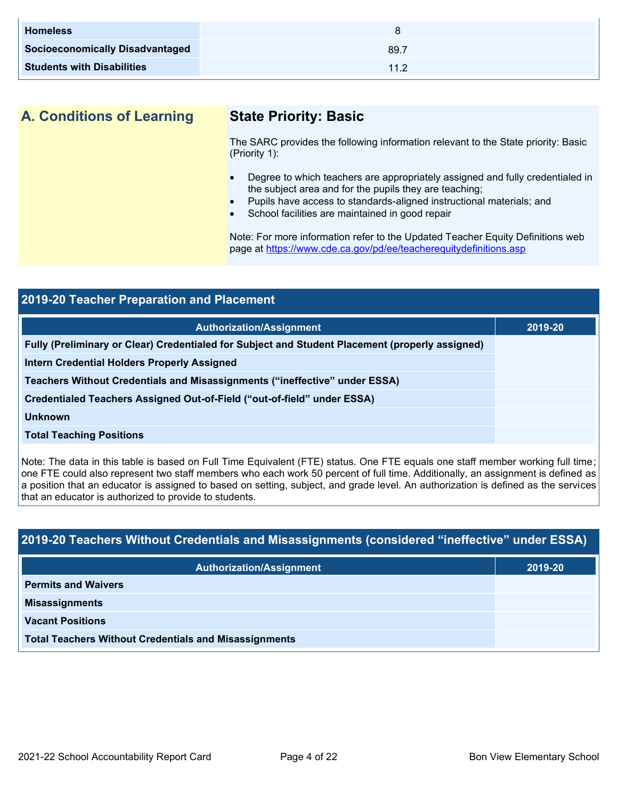| <b>Homeless</b>                        |      |
|----------------------------------------|------|
| <b>Socioeconomically Disadvantaged</b> | 89.7 |
| <b>Students with Disabilities</b>      | 112  |

#### **A. Conditions of Learning State Priority: Basic**

The SARC provides the following information relevant to the State priority: Basic (Priority 1):

- Degree to which teachers are appropriately assigned and fully credentialed in the subject area and for the pupils they are teaching;
- Pupils have access to standards-aligned instructional materials; and
- School facilities are maintained in good repair

Note: For more information refer to the Updated Teacher Equity Definitions web page at<https://www.cde.ca.gov/pd/ee/teacherequitydefinitions.asp>

| 2019-20 Teacher Preparation and Placement                                                       |         |  |  |
|-------------------------------------------------------------------------------------------------|---------|--|--|
| <b>Authorization/Assignment</b>                                                                 | 2019-20 |  |  |
| Fully (Preliminary or Clear) Credentialed for Subject and Student Placement (properly assigned) |         |  |  |
| <b>Intern Credential Holders Properly Assigned</b>                                              |         |  |  |
| Teachers Without Credentials and Misassignments ("ineffective" under ESSA)                      |         |  |  |
| Credentialed Teachers Assigned Out-of-Field ("out-of-field" under ESSA)                         |         |  |  |
| <b>Unknown</b>                                                                                  |         |  |  |
| <b>Total Teaching Positions</b>                                                                 |         |  |  |
|                                                                                                 |         |  |  |

Note: The data in this table is based on Full Time Equivalent (FTE) status. One FTE equals one staff member working full time; one FTE could also represent two staff members who each work 50 percent of full time. Additionally, an assignment is defined as a position that an educator is assigned to based on setting, subject, and grade level. An authorization is defined as the services that an educator is authorized to provide to students.

## **2019-20 Teachers Without Credentials and Misassignments (considered "ineffective" under ESSA) Authorization/Assignment 2019-20 Permits and Waivers Misassignments Vacant Positions Total Teachers Without Credentials and Misassignments**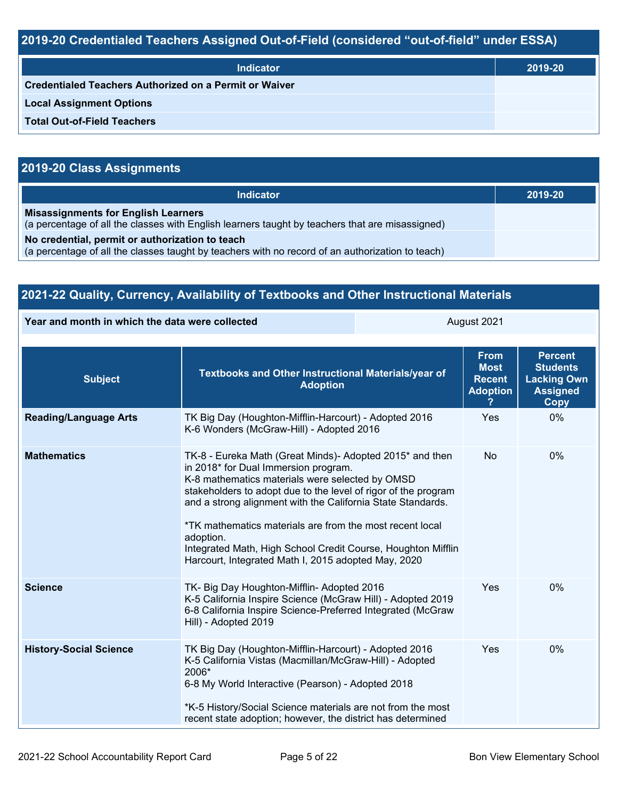### **2019-20 Credentialed Teachers Assigned Out-of-Field (considered "out-of-field" under ESSA)**

| <b>Indicator</b>                                       | 2019-20 |
|--------------------------------------------------------|---------|
| Credentialed Teachers Authorized on a Permit or Waiver |         |
| <b>Local Assignment Options</b>                        |         |
| <b>Total Out-of-Field Teachers</b>                     |         |

### **2019-20 Class Assignments**

| <b>Indicator</b>                                                                                                                                    | 2019-20 |
|-----------------------------------------------------------------------------------------------------------------------------------------------------|---------|
| <b>Misassignments for English Learners</b><br>(a percentage of all the classes with English learners taught by teachers that are misassigned)       |         |
| No credential, permit or authorization to teach<br>(a percentage of all the classes taught by teachers with no record of an authorization to teach) |         |

| 2021-22 Quality, Currency, Availability of Textbooks and Other Instructional Materials |                                                                                                                                                                                                                                                                                                                                                                                                                                                                                      |             |                                                                |                                                                                           |  |
|----------------------------------------------------------------------------------------|--------------------------------------------------------------------------------------------------------------------------------------------------------------------------------------------------------------------------------------------------------------------------------------------------------------------------------------------------------------------------------------------------------------------------------------------------------------------------------------|-------------|----------------------------------------------------------------|-------------------------------------------------------------------------------------------|--|
| Year and month in which the data were collected                                        |                                                                                                                                                                                                                                                                                                                                                                                                                                                                                      | August 2021 |                                                                |                                                                                           |  |
| <b>Subject</b>                                                                         | Textbooks and Other Instructional Materials/year of<br><b>Adoption</b>                                                                                                                                                                                                                                                                                                                                                                                                               |             | <b>From</b><br><b>Most</b><br><b>Recent</b><br><b>Adoption</b> | <b>Percent</b><br><b>Students</b><br><b>Lacking Own</b><br><b>Assigned</b><br><b>Copy</b> |  |
| <b>Reading/Language Arts</b>                                                           | TK Big Day (Houghton-Mifflin-Harcourt) - Adopted 2016<br>K-6 Wonders (McGraw-Hill) - Adopted 2016                                                                                                                                                                                                                                                                                                                                                                                    |             | Yes                                                            | 0%                                                                                        |  |
| <b>Mathematics</b>                                                                     | TK-8 - Eureka Math (Great Minds)- Adopted 2015* and then<br>in 2018* for Dual Immersion program.<br>K-8 mathematics materials were selected by OMSD<br>stakeholders to adopt due to the level of rigor of the program<br>and a strong alignment with the California State Standards.<br>*TK mathematics materials are from the most recent local<br>adoption.<br>Integrated Math, High School Credit Course, Houghton Mifflin<br>Harcourt, Integrated Math I, 2015 adopted May, 2020 | <b>No</b>   | 0%                                                             |                                                                                           |  |
| <b>Science</b>                                                                         | TK- Big Day Houghton-Mifflin- Adopted 2016<br>K-5 California Inspire Science (McGraw Hill) - Adopted 2019<br>6-8 California Inspire Science-Preferred Integrated (McGraw<br>Hill) - Adopted 2019                                                                                                                                                                                                                                                                                     | Yes         | 0%                                                             |                                                                                           |  |
| <b>History-Social Science</b>                                                          | TK Big Day (Houghton-Mifflin-Harcourt) - Adopted 2016<br>K-5 California Vistas (Macmillan/McGraw-Hill) - Adopted<br>2006*<br>6-8 My World Interactive (Pearson) - Adopted 2018<br>*K-5 History/Social Science materials are not from the most<br>recent state adoption; however, the district has determined                                                                                                                                                                         |             | Yes                                                            | 0%                                                                                        |  |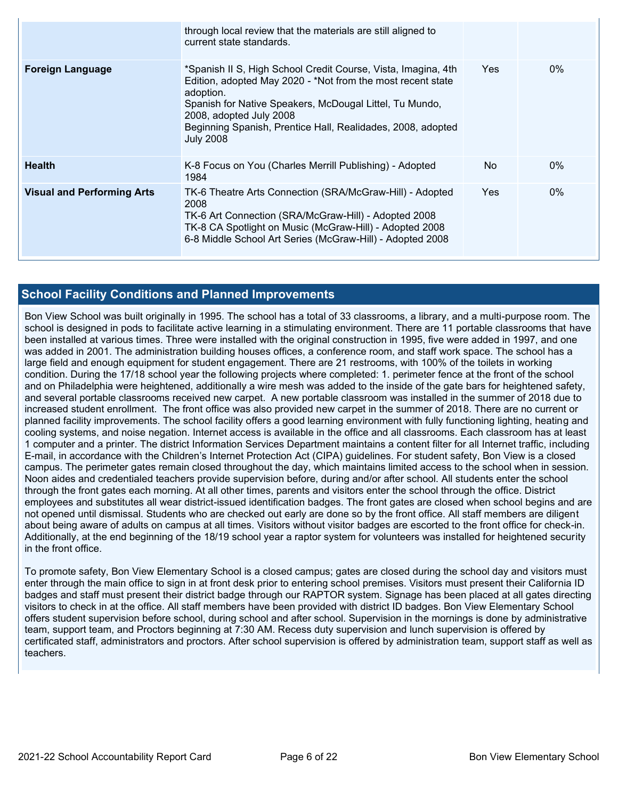|                                   | through local review that the materials are still aligned to<br>current state standards.                                                                                                                                                                                                                           |     |       |
|-----------------------------------|--------------------------------------------------------------------------------------------------------------------------------------------------------------------------------------------------------------------------------------------------------------------------------------------------------------------|-----|-------|
| Foreign Language                  | *Spanish II S, High School Credit Course, Vista, Imagina, 4th<br>Edition, adopted May 2020 - *Not from the most recent state<br>adoption.<br>Spanish for Native Speakers, McDougal Littel, Tu Mundo,<br>2008, adopted July 2008<br>Beginning Spanish, Prentice Hall, Realidades, 2008, adopted<br><b>July 2008</b> | Yes | $0\%$ |
| <b>Health</b>                     | K-8 Focus on You (Charles Merrill Publishing) - Adopted<br>1984                                                                                                                                                                                                                                                    | No  | $0\%$ |
| <b>Visual and Performing Arts</b> | TK-6 Theatre Arts Connection (SRA/McGraw-Hill) - Adopted<br>2008<br>TK-6 Art Connection (SRA/McGraw-Hill) - Adopted 2008<br>TK-8 CA Spotlight on Music (McGraw-Hill) - Adopted 2008<br>6-8 Middle School Art Series (McGraw-Hill) - Adopted 2008                                                                   | Yes | $0\%$ |

#### **School Facility Conditions and Planned Improvements**

Bon View School was built originally in 1995. The school has a total of 33 classrooms, a library, and a multi-purpose room. The school is designed in pods to facilitate active learning in a stimulating environment. There are 11 portable classrooms that have been installed at various times. Three were installed with the original construction in 1995, five were added in 1997, and one was added in 2001. The administration building houses offices, a conference room, and staff work space. The school has a large field and enough equipment for student engagement. There are 21 restrooms, with 100% of the toilets in working condition. During the 17/18 school year the following projects where completed: 1. perimeter fence at the front of the school and on Philadelphia were heightened, additionally a wire mesh was added to the inside of the gate bars for heightened safety, and several portable classrooms received new carpet. A new portable classroom was installed in the summer of 2018 due to increased student enrollment. The front office was also provided new carpet in the summer of 2018. There are no current or planned facility improvements. The school facility offers a good learning environment with fully functioning lighting, heating and cooling systems, and noise negation. Internet access is available in the office and all classrooms. Each classroom has at least 1 computer and a printer. The district Information Services Department maintains a content filter for all Internet traffic, including E-mail, in accordance with the Children's Internet Protection Act (CIPA) guidelines. For student safety, Bon View is a closed campus. The perimeter gates remain closed throughout the day, which maintains limited access to the school when in session. Noon aides and credentialed teachers provide supervision before, during and/or after school. All students enter the school through the front gates each morning. At all other times, parents and visitors enter the school through the office. District employees and substitutes all wear district-issued identification badges. The front gates are closed when school begins and are not opened until dismissal. Students who are checked out early are done so by the front office. All staff members are diligent about being aware of adults on campus at all times. Visitors without visitor badges are escorted to the front office for check-in. Additionally, at the end beginning of the 18/19 school year a raptor system for volunteers was installed for heightened security in the front office.

To promote safety, Bon View Elementary School is a closed campus; gates are closed during the school day and visitors must enter through the main office to sign in at front desk prior to entering school premises. Visitors must present their California ID badges and staff must present their district badge through our RAPTOR system. Signage has been placed at all gates directing visitors to check in at the office. All staff members have been provided with district ID badges. Bon View Elementary School offers student supervision before school, during school and after school. Supervision in the mornings is done by administrative team, support team, and Proctors beginning at 7:30 AM. Recess duty supervision and lunch supervision is offered by certificated staff, administrators and proctors. After school supervision is offered by administration team, support staff as well as teachers.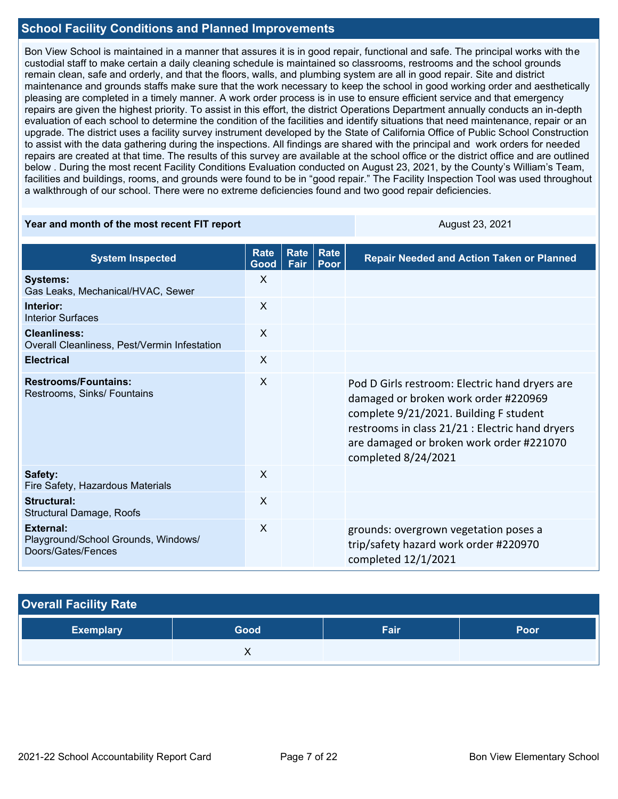#### **School Facility Conditions and Planned Improvements**

Bon View School is maintained in a manner that assures it is in good repair, functional and safe. The principal works with the custodial staff to make certain a daily cleaning schedule is maintained so classrooms, restrooms and the school grounds remain clean, safe and orderly, and that the floors, walls, and plumbing system are all in good repair. Site and district maintenance and grounds staffs make sure that the work necessary to keep the school in good working order and aesthetically pleasing are completed in a timely manner. A work order process is in use to ensure efficient service and that emergency repairs are given the highest priority. To assist in this effort, the district Operations Department annually conducts an in-depth evaluation of each school to determine the condition of the facilities and identify situations that need maintenance, repair or an upgrade. The district uses a facility survey instrument developed by the State of California Office of Public School Construction to assist with the data gathering during the inspections. All findings are shared with the principal and work orders for needed repairs are created at that time. The results of this survey are available at the school office or the district office and are outlined below . During the most recent Facility Conditions Evaluation conducted on August 23, 2021, by the County's William's Team, facilities and buildings, rooms, and grounds were found to be in "good repair." The Facility Inspection Tool was used throughout a walkthrough of our school. There were no extreme deficiencies found and two good repair deficiencies.

#### **Year and month of the most recent FIT report** August 23, 2021

| <b>System Inspected</b>                                                | <b>Rate</b><br>Good       | <b>Rate</b><br>Fair | Rate<br>Poor | <b>Repair Needed and Action Taken or Planned</b>                                                                                                                                                                                                       |
|------------------------------------------------------------------------|---------------------------|---------------------|--------------|--------------------------------------------------------------------------------------------------------------------------------------------------------------------------------------------------------------------------------------------------------|
| <b>Systems:</b><br>Gas Leaks, Mechanical/HVAC, Sewer                   | $\sf X$                   |                     |              |                                                                                                                                                                                                                                                        |
| Interior:<br><b>Interior Surfaces</b>                                  | $\sf X$                   |                     |              |                                                                                                                                                                                                                                                        |
| <b>Cleanliness:</b><br>Overall Cleanliness, Pest/Vermin Infestation    | $\sf X$                   |                     |              |                                                                                                                                                                                                                                                        |
| <b>Electrical</b>                                                      | $\boldsymbol{\mathsf{X}}$ |                     |              |                                                                                                                                                                                                                                                        |
| <b>Restrooms/Fountains:</b><br>Restrooms, Sinks/ Fountains             | $\sf X$                   |                     |              | Pod D Girls restroom: Electric hand dryers are<br>damaged or broken work order #220969<br>complete 9/21/2021. Building F student<br>restrooms in class 21/21 : Electric hand dryers<br>are damaged or broken work order #221070<br>completed 8/24/2021 |
| Safety:<br>Fire Safety, Hazardous Materials                            | X                         |                     |              |                                                                                                                                                                                                                                                        |
| <b>Structural:</b><br>Structural Damage, Roofs                         | X                         |                     |              |                                                                                                                                                                                                                                                        |
| External:<br>Playground/School Grounds, Windows/<br>Doors/Gates/Fences | X                         |                     |              | grounds: overgrown vegetation poses a<br>trip/safety hazard work order #220970<br>completed 12/1/2021                                                                                                                                                  |

#### **Overall Facility Rate**

| <b>Exemplary</b> | Good | Fair | Poor |
|------------------|------|------|------|
|                  | ,,   |      |      |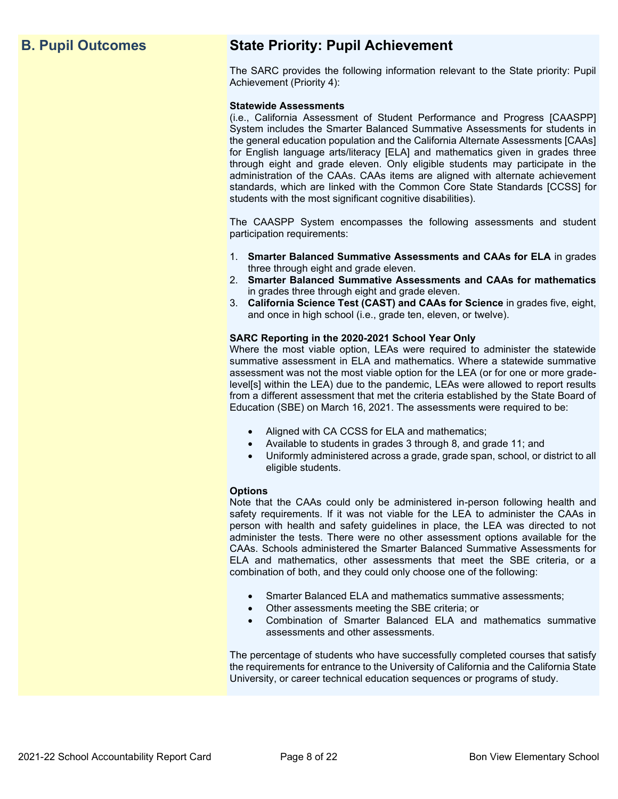### **B. Pupil Outcomes State Priority: Pupil Achievement**

The SARC provides the following information relevant to the State priority: Pupil Achievement (Priority 4):

#### **Statewide Assessments**

(i.e., California Assessment of Student Performance and Progress [CAASPP] System includes the Smarter Balanced Summative Assessments for students in the general education population and the California Alternate Assessments [CAAs] for English language arts/literacy [ELA] and mathematics given in grades three through eight and grade eleven. Only eligible students may participate in the administration of the CAAs. CAAs items are aligned with alternate achievement standards, which are linked with the Common Core State Standards [CCSS] for students with the most significant cognitive disabilities).

The CAASPP System encompasses the following assessments and student participation requirements:

- 1. **Smarter Balanced Summative Assessments and CAAs for ELA** in grades three through eight and grade eleven.
- 2. **Smarter Balanced Summative Assessments and CAAs for mathematics** in grades three through eight and grade eleven.
- 3. **California Science Test (CAST) and CAAs for Science** in grades five, eight, and once in high school (i.e., grade ten, eleven, or twelve).

#### **SARC Reporting in the 2020-2021 School Year Only**

Where the most viable option, LEAs were required to administer the statewide summative assessment in ELA and mathematics. Where a statewide summative assessment was not the most viable option for the LEA (or for one or more gradelevel[s] within the LEA) due to the pandemic, LEAs were allowed to report results from a different assessment that met the criteria established by the State Board of Education (SBE) on March 16, 2021. The assessments were required to be:

- Aligned with CA CCSS for ELA and mathematics;
- Available to students in grades 3 through 8, and grade 11; and
- Uniformly administered across a grade, grade span, school, or district to all eligible students.

#### **Options**

Note that the CAAs could only be administered in-person following health and safety requirements. If it was not viable for the LEA to administer the CAAs in person with health and safety guidelines in place, the LEA was directed to not administer the tests. There were no other assessment options available for the CAAs. Schools administered the Smarter Balanced Summative Assessments for ELA and mathematics, other assessments that meet the SBE criteria, or a combination of both, and they could only choose one of the following:

- Smarter Balanced ELA and mathematics summative assessments;
- Other assessments meeting the SBE criteria; or
- Combination of Smarter Balanced ELA and mathematics summative assessments and other assessments.

The percentage of students who have successfully completed courses that satisfy the requirements for entrance to the University of California and the California State University, or career technical education sequences or programs of study.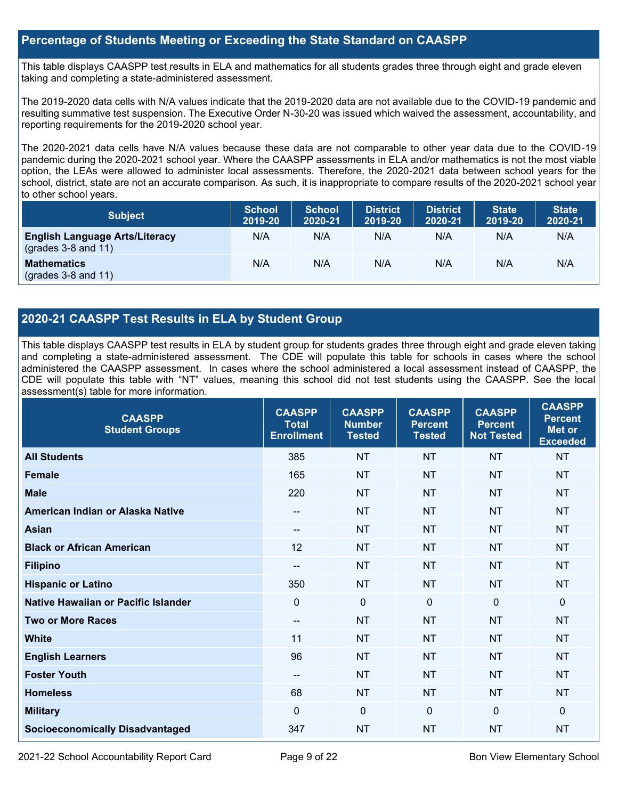#### **Percentage of Students Meeting or Exceeding the State Standard on CAASPP**

This table displays CAASPP test results in ELA and mathematics for all students grades three through eight and grade eleven taking and completing a state-administered assessment.

The 2019-2020 data cells with N/A values indicate that the 2019-2020 data are not available due to the COVID-19 pandemic and resulting summative test suspension. The Executive Order N-30-20 was issued which waived the assessment, accountability, and reporting requirements for the 2019-2020 school year.

The 2020-2021 data cells have N/A values because these data are not comparable to other year data due to the COVID-19 pandemic during the 2020-2021 school year. Where the CAASPP assessments in ELA and/or mathematics is not the most viable option, the LEAs were allowed to administer local assessments. Therefore, the 2020-2021 data between school years for the school, district, state are not an accurate comparison. As such, it is inappropriate to compare results of the 2020-2021 school year to other school years.

| <b>Subject</b>                                                       | <b>School</b><br>2019-20 | <b>School</b><br>2020-21 | <b>District</b><br>2019-20 | <b>District</b><br>2020-21 | <b>State</b><br>2019-20 | <b>State</b><br>2020-21 |
|----------------------------------------------------------------------|--------------------------|--------------------------|----------------------------|----------------------------|-------------------------|-------------------------|
| <b>English Language Arts/Literacy</b><br>$\left($ grades 3-8 and 11) | N/A                      | N/A                      | N/A                        | N/A                        | N/A                     | N/A                     |
| <b>Mathematics</b><br>$(grades 3-8 and 11)$                          | N/A                      | N/A                      | N/A                        | N/A                        | N/A                     | N/A                     |

#### **2020-21 CAASPP Test Results in ELA by Student Group**

This table displays CAASPP test results in ELA by student group for students grades three through eight and grade eleven taking and completing a state-administered assessment. The CDE will populate this table for schools in cases where the school administered the CAASPP assessment. In cases where the school administered a local assessment instead of CAASPP, the CDE will populate this table with "NT" values, meaning this school did not test students using the CAASPP. See the local assessment(s) table for more information.

| <b>CAASPP</b><br><b>Student Groups</b> | <b>CAASPP</b><br><b>Total</b><br><b>Enrollment</b> | <b>CAASPP</b><br><b>Number</b><br><b>Tested</b> | <b>CAASPP</b><br><b>Percent</b><br><b>Tested</b> | <b>CAASPP</b><br><b>Percent</b><br><b>Not Tested</b> | <b>CAASPP</b><br><b>Percent</b><br><b>Met or</b><br><b>Exceeded</b> |
|----------------------------------------|----------------------------------------------------|-------------------------------------------------|--------------------------------------------------|------------------------------------------------------|---------------------------------------------------------------------|
| <b>All Students</b>                    | 385                                                | <b>NT</b>                                       | <b>NT</b>                                        | <b>NT</b>                                            | <b>NT</b>                                                           |
| <b>Female</b>                          | 165                                                | <b>NT</b>                                       | <b>NT</b>                                        | <b>NT</b>                                            | <b>NT</b>                                                           |
| <b>Male</b>                            | 220                                                | <b>NT</b>                                       | <b>NT</b>                                        | <b>NT</b>                                            | <b>NT</b>                                                           |
| American Indian or Alaska Native       | $\qquad \qquad -$                                  | <b>NT</b>                                       | <b>NT</b>                                        | <b>NT</b>                                            | <b>NT</b>                                                           |
| <b>Asian</b>                           | $\qquad \qquad -$                                  | <b>NT</b>                                       | <b>NT</b>                                        | <b>NT</b>                                            | <b>NT</b>                                                           |
| <b>Black or African American</b>       | 12                                                 | <b>NT</b>                                       | <b>NT</b>                                        | <b>NT</b>                                            | <b>NT</b>                                                           |
| <b>Filipino</b>                        | $\qquad \qquad -$                                  | <b>NT</b>                                       | <b>NT</b>                                        | <b>NT</b>                                            | <b>NT</b>                                                           |
| <b>Hispanic or Latino</b>              | 350                                                | <b>NT</b>                                       | <b>NT</b>                                        | <b>NT</b>                                            | <b>NT</b>                                                           |
| Native Hawaiian or Pacific Islander    | $\mathbf 0$                                        | $\mathbf 0$                                     | $\Omega$                                         | $\Omega$                                             | 0                                                                   |
| <b>Two or More Races</b>               | $-$                                                | <b>NT</b>                                       | <b>NT</b>                                        | <b>NT</b>                                            | <b>NT</b>                                                           |
| <b>White</b>                           | 11                                                 | <b>NT</b>                                       | <b>NT</b>                                        | <b>NT</b>                                            | <b>NT</b>                                                           |
| <b>English Learners</b>                | 96                                                 | <b>NT</b>                                       | <b>NT</b>                                        | <b>NT</b>                                            | <b>NT</b>                                                           |
| <b>Foster Youth</b>                    | $\qquad \qquad -$                                  | <b>NT</b>                                       | <b>NT</b>                                        | <b>NT</b>                                            | <b>NT</b>                                                           |
| <b>Homeless</b>                        | 68                                                 | <b>NT</b>                                       | <b>NT</b>                                        | <b>NT</b>                                            | <b>NT</b>                                                           |
| <b>Military</b>                        | $\Omega$                                           | $\mathbf 0$                                     | $\Omega$                                         | $\mathbf{0}$                                         | 0                                                                   |
| <b>Socioeconomically Disadvantaged</b> | 347                                                | <b>NT</b>                                       | <b>NT</b>                                        | <b>NT</b>                                            | <b>NT</b>                                                           |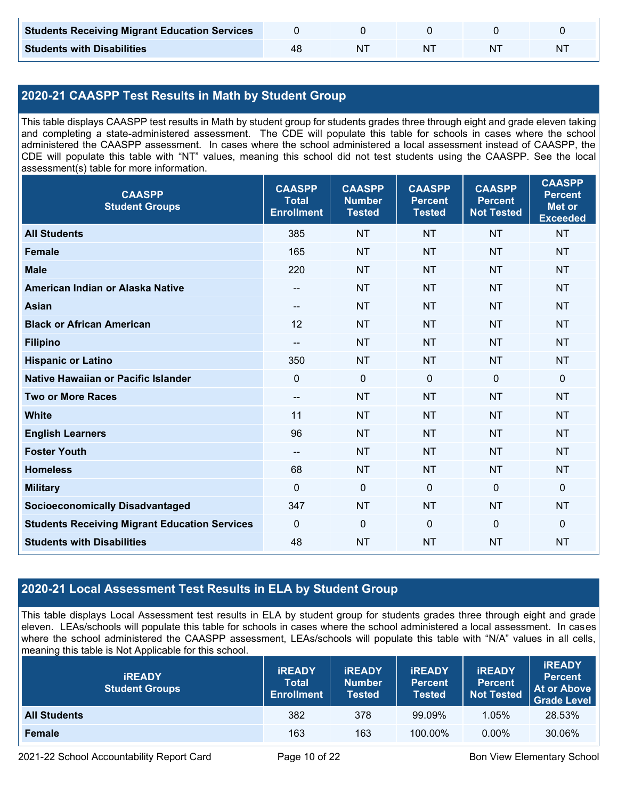| <b>Students Receiving Migrant Education Services</b> |    |  |   |
|------------------------------------------------------|----|--|---|
| <b>Students with Disabilities</b>                    | NΊ |  | N |

#### **2020-21 CAASPP Test Results in Math by Student Group**

This table displays CAASPP test results in Math by student group for students grades three through eight and grade eleven taking and completing a state-administered assessment. The CDE will populate this table for schools in cases where the school administered the CAASPP assessment. In cases where the school administered a local assessment instead of CAASPP, the CDE will populate this table with "NT" values, meaning this school did not test students using the CAASPP. See the local assessment(s) table for more information.

| <b>CAASPP</b><br><b>Student Groups</b>               | <b>CAASPP</b><br><b>Total</b><br><b>Enrollment</b> | <b>CAASPP</b><br><b>Number</b><br><b>Tested</b> | <b>CAASPP</b><br><b>Percent</b><br><b>Tested</b> | <b>CAASPP</b><br><b>Percent</b><br><b>Not Tested</b> | <b>CAASPP</b><br><b>Percent</b><br><b>Met or</b><br><b>Exceeded</b> |
|------------------------------------------------------|----------------------------------------------------|-------------------------------------------------|--------------------------------------------------|------------------------------------------------------|---------------------------------------------------------------------|
| <b>All Students</b>                                  | 385                                                | <b>NT</b>                                       | <b>NT</b>                                        | <b>NT</b>                                            | <b>NT</b>                                                           |
| <b>Female</b>                                        | 165                                                | <b>NT</b>                                       | <b>NT</b>                                        | <b>NT</b>                                            | <b>NT</b>                                                           |
| <b>Male</b>                                          | 220                                                | <b>NT</b>                                       | <b>NT</b>                                        | <b>NT</b>                                            | <b>NT</b>                                                           |
| American Indian or Alaska Native                     | $\qquad \qquad -$                                  | <b>NT</b>                                       | <b>NT</b>                                        | <b>NT</b>                                            | <b>NT</b>                                                           |
| <b>Asian</b>                                         | $-$                                                | <b>NT</b>                                       | <b>NT</b>                                        | <b>NT</b>                                            | <b>NT</b>                                                           |
| <b>Black or African American</b>                     | 12                                                 | <b>NT</b>                                       | <b>NT</b>                                        | <b>NT</b>                                            | <b>NT</b>                                                           |
| <b>Filipino</b>                                      | $-$                                                | <b>NT</b>                                       | <b>NT</b>                                        | <b>NT</b>                                            | <b>NT</b>                                                           |
| <b>Hispanic or Latino</b>                            | 350                                                | <b>NT</b>                                       | <b>NT</b>                                        | <b>NT</b>                                            | <b>NT</b>                                                           |
| <b>Native Hawaiian or Pacific Islander</b>           | $\overline{0}$                                     | $\mathbf 0$                                     | $\mathbf 0$                                      | $\overline{0}$                                       | $\mathbf 0$                                                         |
| <b>Two or More Races</b>                             | $\overline{\phantom{a}}$                           | <b>NT</b>                                       | <b>NT</b>                                        | <b>NT</b>                                            | <b>NT</b>                                                           |
| <b>White</b>                                         | 11                                                 | <b>NT</b>                                       | <b>NT</b>                                        | <b>NT</b>                                            | <b>NT</b>                                                           |
| <b>English Learners</b>                              | 96                                                 | <b>NT</b>                                       | <b>NT</b>                                        | <b>NT</b>                                            | <b>NT</b>                                                           |
| <b>Foster Youth</b>                                  | $-$                                                | <b>NT</b>                                       | <b>NT</b>                                        | <b>NT</b>                                            | <b>NT</b>                                                           |
| <b>Homeless</b>                                      | 68                                                 | <b>NT</b>                                       | <b>NT</b>                                        | <b>NT</b>                                            | <b>NT</b>                                                           |
| <b>Military</b>                                      | $\mathbf 0$                                        | $\mathbf 0$                                     | $\mathbf 0$                                      | $\mathbf 0$                                          | 0                                                                   |
| <b>Socioeconomically Disadvantaged</b>               | 347                                                | <b>NT</b>                                       | <b>NT</b>                                        | <b>NT</b>                                            | <b>NT</b>                                                           |
| <b>Students Receiving Migrant Education Services</b> | $\mathbf 0$                                        | $\mathbf 0$                                     | $\mathbf 0$                                      | $\mathbf 0$                                          | 0                                                                   |
| <b>Students with Disabilities</b>                    | 48                                                 | <b>NT</b>                                       | <b>NT</b>                                        | <b>NT</b>                                            | <b>NT</b>                                                           |

#### **2020-21 Local Assessment Test Results in ELA by Student Group**

This table displays Local Assessment test results in ELA by student group for students grades three through eight and grade eleven. LEAs/schools will populate this table for schools in cases where the school administered a local assessment. In cases where the school administered the CAASPP assessment, LEAs/schools will populate this table with "N/A" values in all cells, meaning this table is Not Applicable for this school.

| <b>IREADY</b><br><b>Student Groups</b> | <b>IREADY</b><br><b>Total</b><br><b>Enrollment</b> | <b>IREADY</b><br><b>Number</b><br><b>Tested</b> | <b><i>IREADY</i></b><br><b>Percent</b><br>Tested | <b>IREADY</b><br><b>Percent</b><br><b>Not Tested</b> | <b>IREADY</b><br><b>Percent</b><br><b>At or Above</b><br><b>Grade Level</b> |
|----------------------------------------|----------------------------------------------------|-------------------------------------------------|--------------------------------------------------|------------------------------------------------------|-----------------------------------------------------------------------------|
| <b>All Students</b>                    | 382                                                | 378                                             | 99.09%                                           | 1.05%                                                | 28.53%                                                                      |
| Female                                 | 163                                                | 163                                             | 100.00%                                          | $0.00\%$                                             | 30.06%                                                                      |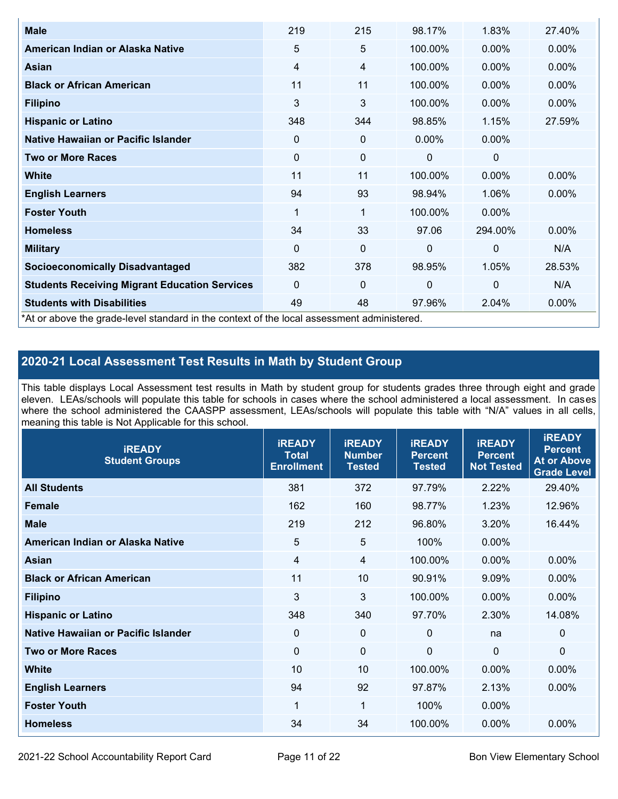| <b>Male</b>                                                                                | 219      | 215             | 98.17%       | 1.83%        | 27.40%   |
|--------------------------------------------------------------------------------------------|----------|-----------------|--------------|--------------|----------|
| American Indian or Alaska Native                                                           | 5        | $5\phantom{.0}$ | 100.00%      | $0.00\%$     | 0.00%    |
| Asian                                                                                      | 4        | 4               | 100.00%      | $0.00\%$     | $0.00\%$ |
| <b>Black or African American</b>                                                           | 11       | 11              | 100.00%      | $0.00\%$     | 0.00%    |
| <b>Filipino</b>                                                                            | 3        | 3               | 100.00%      | 0.00%        | 0.00%    |
| <b>Hispanic or Latino</b>                                                                  | 348      | 344             | 98.85%       | 1.15%        | 27.59%   |
| Native Hawaiian or Pacific Islander                                                        | 0        | 0               | $0.00\%$     | $0.00\%$     |          |
| <b>Two or More Races</b>                                                                   | 0        | 0               | 0            | 0            |          |
| <b>White</b>                                                                               | 11       | 11              | 100.00%      | $0.00\%$     | $0.00\%$ |
| <b>English Learners</b>                                                                    | 94       | 93              | 98.94%       | 1.06%        | $0.00\%$ |
| <b>Foster Youth</b>                                                                        | 1        | 1               | 100.00%      | $0.00\%$     |          |
| <b>Homeless</b>                                                                            | 34       | 33              | 97.06        | 294.00%      | 0.00%    |
| <b>Military</b>                                                                            | $\Omega$ | 0               | $\mathbf{0}$ | $\mathbf{0}$ | N/A      |
| <b>Socioeconomically Disadvantaged</b>                                                     | 382      | 378             | 98.95%       | 1.05%        | 28.53%   |
| <b>Students Receiving Migrant Education Services</b>                                       | $\Omega$ | 0               | 0            | $\mathbf 0$  | N/A      |
| <b>Students with Disabilities</b>                                                          | 49       | 48              | 97.96%       | 2.04%        | 0.00%    |
| *At or above the grade-level standard in the context of the local assessment administered. |          |                 |              |              |          |

#### **2020-21 Local Assessment Test Results in Math by Student Group**

This table displays Local Assessment test results in Math by student group for students grades three through eight and grade eleven. LEAs/schools will populate this table for schools in cases where the school administered a local assessment. In cases where the school administered the CAASPP assessment, LEAs/schools will populate this table with "N/A" values in all cells, meaning this table is Not Applicable for this school.

| <b>iREADY</b><br><b>Student Groups</b> | <b>IREADY</b><br><b>Total</b><br><b>Enrollment</b> | <b>iREADY</b><br><b>Number</b><br><b>Tested</b> | <b>iREADY</b><br><b>Percent</b><br><b>Tested</b> | <b>IREADY</b><br><b>Percent</b><br><b>Not Tested</b> | <b>IREADY</b><br><b>Percent</b><br><b>At or Above</b><br><b>Grade Level</b> |
|----------------------------------------|----------------------------------------------------|-------------------------------------------------|--------------------------------------------------|------------------------------------------------------|-----------------------------------------------------------------------------|
| <b>All Students</b>                    | 381                                                | 372                                             | 97.79%                                           | 2.22%                                                | 29.40%                                                                      |
| <b>Female</b>                          | 162                                                | 160                                             | 98.77%                                           | 1.23%                                                | 12.96%                                                                      |
| <b>Male</b>                            | 219                                                | 212                                             | 96.80%                                           | 3.20%                                                | 16.44%                                                                      |
| American Indian or Alaska Native       | 5                                                  | 5                                               | 100%                                             | 0.00%                                                |                                                                             |
| Asian                                  | $\overline{4}$                                     | $\overline{4}$                                  | 100.00%                                          | 0.00%                                                | 0.00%                                                                       |
| <b>Black or African American</b>       | 11                                                 | 10                                              | 90.91%                                           | 9.09%                                                | 0.00%                                                                       |
| <b>Filipino</b>                        | 3                                                  | 3                                               | 100.00%                                          | 0.00%                                                | 0.00%                                                                       |
| <b>Hispanic or Latino</b>              | 348                                                | 340                                             | 97.70%                                           | 2.30%                                                | 14.08%                                                                      |
| Native Hawaiian or Pacific Islander    | $\mathbf 0$                                        | $\mathbf 0$                                     | $\mathbf{0}$                                     | na                                                   | 0                                                                           |
| <b>Two or More Races</b>               | $\mathbf 0$                                        | $\mathbf 0$                                     | $\overline{0}$                                   | $\overline{0}$                                       | $\Omega$                                                                    |
| <b>White</b>                           | 10                                                 | 10                                              | 100.00%                                          | 0.00%                                                | 0.00%                                                                       |
| <b>English Learners</b>                | 94                                                 | 92                                              | 97.87%                                           | 2.13%                                                | $0.00\%$                                                                    |
| <b>Foster Youth</b>                    | 1                                                  | 1                                               | 100%                                             | 0.00%                                                |                                                                             |
| <b>Homeless</b>                        | 34                                                 | 34                                              | 100.00%                                          | 0.00%                                                | 0.00%                                                                       |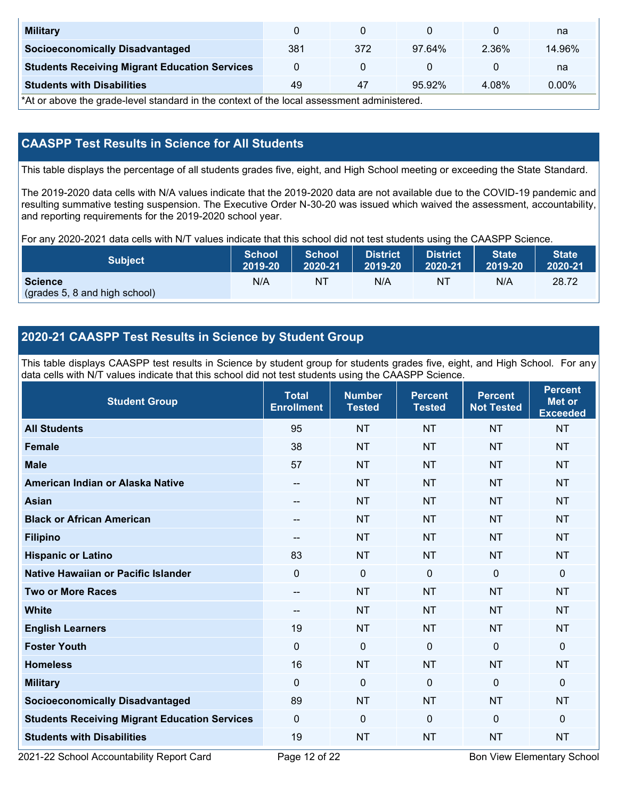| <b>Military</b>                                      |     |     |        |       | na       |
|------------------------------------------------------|-----|-----|--------|-------|----------|
| <b>Socioeconomically Disadvantaged</b>               | 381 | 372 | 97.64% | 2.36% | 14.96%   |
| <b>Students Receiving Migrant Education Services</b> |     |     |        |       | na       |
| <b>Students with Disabilities</b>                    | 49  | 47  | 95.92% | 4.08% | $0.00\%$ |

\*At or above the grade-level standard in the context of the local assessment administered.

#### **CAASPP Test Results in Science for All Students**

This table displays the percentage of all students grades five, eight, and High School meeting or exceeding the State Standard.

The 2019-2020 data cells with N/A values indicate that the 2019-2020 data are not available due to the COVID-19 pandemic and resulting summative testing suspension. The Executive Order N-30-20 was issued which waived the assessment, accountability, and reporting requirements for the 2019-2020 school year.

For any 2020-2021 data cells with N/T values indicate that this school did not test students using the CAASPP Science.

| <b>Subject</b>                                  | <b>School</b> | <b>School</b> | <b>District</b> | <b>District</b> | <b>State</b> | <b>State</b> |
|-------------------------------------------------|---------------|---------------|-----------------|-----------------|--------------|--------------|
|                                                 | 2019-20       | 2020-21       | 2019-20         | 2020-21         | 2019-20      | 2020-21      |
| <b>Science</b><br>(grades 5, 8 and high school) | N/A           | ΝT            | N/A             | N1              | N/A          | 28.72        |

#### **2020-21 CAASPP Test Results in Science by Student Group**

This table displays CAASPP test results in Science by student group for students grades five, eight, and High School. For any data cells with N/T values indicate that this school did not test students using the CAASPP Science.

| <b>Student Group</b>                                 | <b>Total</b><br><b>Enrollment</b> | <b>Number</b><br><b>Tested</b> | <b>Percent</b><br><b>Tested</b> | <b>Percent</b><br><b>Not Tested</b> | <b>Percent</b><br>Met or<br><b>Exceeded</b> |
|------------------------------------------------------|-----------------------------------|--------------------------------|---------------------------------|-------------------------------------|---------------------------------------------|
| <b>All Students</b>                                  | 95                                | <b>NT</b>                      | <b>NT</b>                       | <b>NT</b>                           | <b>NT</b>                                   |
| <b>Female</b>                                        | 38                                | <b>NT</b>                      | <b>NT</b>                       | <b>NT</b>                           | <b>NT</b>                                   |
| <b>Male</b>                                          | 57                                | <b>NT</b>                      | <b>NT</b>                       | <b>NT</b>                           | <b>NT</b>                                   |
| American Indian or Alaska Native                     | $\qquad \qquad -$                 | <b>NT</b>                      | <b>NT</b>                       | <b>NT</b>                           | <b>NT</b>                                   |
| <b>Asian</b>                                         | --                                | <b>NT</b>                      | <b>NT</b>                       | <b>NT</b>                           | <b>NT</b>                                   |
| <b>Black or African American</b>                     | --                                | <b>NT</b>                      | <b>NT</b>                       | <b>NT</b>                           | <b>NT</b>                                   |
| <b>Filipino</b>                                      | --                                | <b>NT</b>                      | <b>NT</b>                       | <b>NT</b>                           | NT                                          |
| <b>Hispanic or Latino</b>                            | 83                                | <b>NT</b>                      | <b>NT</b>                       | <b>NT</b>                           | <b>NT</b>                                   |
| <b>Native Hawaiian or Pacific Islander</b>           | $\Omega$                          | $\mathbf 0$                    | $\mathbf{0}$                    | $\mathbf 0$                         | 0                                           |
| <b>Two or More Races</b>                             | $\qquad \qquad -$                 | <b>NT</b>                      | <b>NT</b>                       | <b>NT</b>                           | <b>NT</b>                                   |
| <b>White</b>                                         | --                                | <b>NT</b>                      | <b>NT</b>                       | <b>NT</b>                           | <b>NT</b>                                   |
| <b>English Learners</b>                              | 19                                | <b>NT</b>                      | <b>NT</b>                       | <b>NT</b>                           | <b>NT</b>                                   |
| <b>Foster Youth</b>                                  | $\mathbf 0$                       | $\mathbf 0$                    | $\mathbf 0$                     | $\mathbf 0$                         | 0                                           |
| <b>Homeless</b>                                      | 16                                | <b>NT</b>                      | <b>NT</b>                       | <b>NT</b>                           | <b>NT</b>                                   |
| <b>Military</b>                                      | $\mathbf 0$                       | $\mathbf 0$                    | $\mathbf{0}$                    | $\overline{0}$                      | $\mathbf{0}$                                |
| <b>Socioeconomically Disadvantaged</b>               | 89                                | <b>NT</b>                      | <b>NT</b>                       | <b>NT</b>                           | <b>NT</b>                                   |
| <b>Students Receiving Migrant Education Services</b> | $\mathbf{0}$                      | $\mathbf 0$                    | $\mathbf{0}$                    | $\mathbf 0$                         | 0                                           |
| <b>Students with Disabilities</b>                    | 19                                | <b>NT</b>                      | <b>NT</b>                       | <b>NT</b>                           | <b>NT</b>                                   |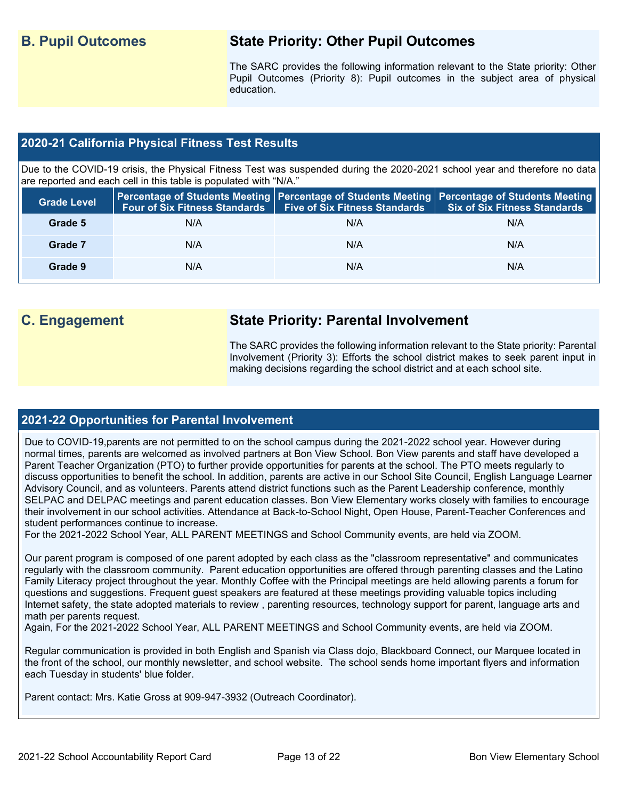#### **B. Pupil Outcomes State Priority: Other Pupil Outcomes**

The SARC provides the following information relevant to the State priority: Other Pupil Outcomes (Priority 8): Pupil outcomes in the subject area of physical education.

#### **2020-21 California Physical Fitness Test Results**

Due to the COVID-19 crisis, the Physical Fitness Test was suspended during the 2020-2021 school year and therefore no data are reported and each cell in this table is populated with "N/A."

| <b>Grade Level</b> |     | Four of Six Fitness Standards   Five of Six Fitness Standards | <b>Percentage of Students Meeting   Percentage of Students Meeting   Percentage of Students Meeting  </b><br><b>Six of Six Fitness Standards</b> |
|--------------------|-----|---------------------------------------------------------------|--------------------------------------------------------------------------------------------------------------------------------------------------|
| Grade 5            | N/A | N/A                                                           | N/A                                                                                                                                              |
| Grade 7            | N/A | N/A                                                           | N/A                                                                                                                                              |
| Grade 9            | N/A | N/A                                                           | N/A                                                                                                                                              |

#### **C. Engagement State Priority: Parental Involvement**

The SARC provides the following information relevant to the State priority: Parental Involvement (Priority 3): Efforts the school district makes to seek parent input in making decisions regarding the school district and at each school site.

#### **2021-22 Opportunities for Parental Involvement**

Due to COVID-19,parents are not permitted to on the school campus during the 2021-2022 school year. However during normal times, parents are welcomed as involved partners at Bon View School. Bon View parents and staff have developed a Parent Teacher Organization (PTO) to further provide opportunities for parents at the school. The PTO meets regularly to discuss opportunities to benefit the school. In addition, parents are active in our School Site Council, English Language Learner Advisory Council, and as volunteers. Parents attend district functions such as the Parent Leadership conference, monthly SELPAC and DELPAC meetings and parent education classes. Bon View Elementary works closely with families to encourage their involvement in our school activities. Attendance at Back-to-School Night, Open House, Parent-Teacher Conferences and student performances continue to increase.

For the 2021-2022 School Year, ALL PARENT MEETINGS and School Community events, are held via ZOOM.

Our parent program is composed of one parent adopted by each class as the "classroom representative" and communicates regularly with the classroom community. Parent education opportunities are offered through parenting classes and the Latino Family Literacy project throughout the year. Monthly Coffee with the Principal meetings are held allowing parents a forum for questions and suggestions. Frequent guest speakers are featured at these meetings providing valuable topics including Internet safety, the state adopted materials to review , parenting resources, technology support for parent, language arts and math per parents request.

Again, For the 2021-2022 School Year, ALL PARENT MEETINGS and School Community events, are held via ZOOM.

Regular communication is provided in both English and Spanish via Class dojo, Blackboard Connect, our Marquee located in the front of the school, our monthly newsletter, and school website. The school sends home important flyers and information each Tuesday in students' blue folder.

Parent contact: Mrs. Katie Gross at 909-947-3932 (Outreach Coordinator).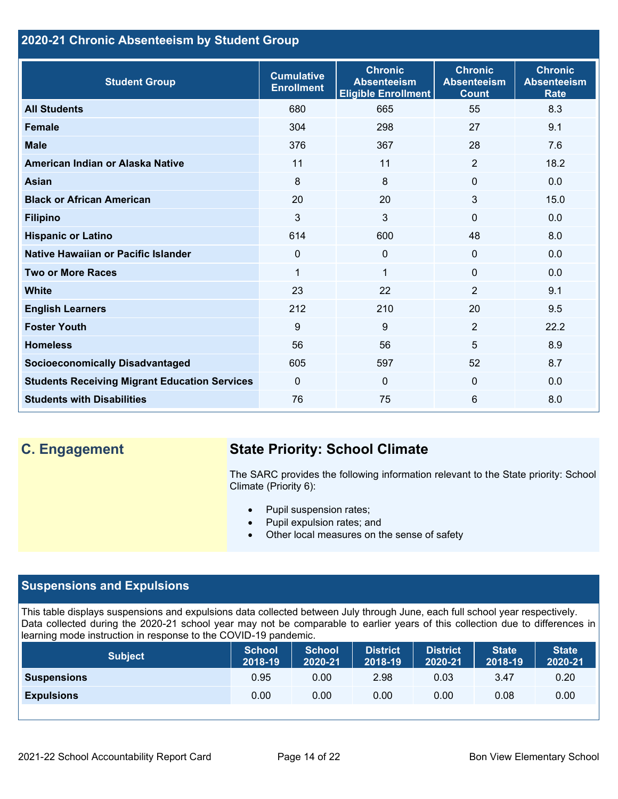#### **2020-21 Chronic Absenteeism by Student Group**

| <b>Student Group</b>                                 | <b>Cumulative</b><br><b>Enrollment</b> | <b>Chronic</b><br><b>Absenteeism</b><br><b>Eligible Enrollment</b> | <b>Chronic</b><br><b>Absenteeism</b><br><b>Count</b> | <b>Chronic</b><br><b>Absenteeism</b><br><b>Rate</b> |
|------------------------------------------------------|----------------------------------------|--------------------------------------------------------------------|------------------------------------------------------|-----------------------------------------------------|
| <b>All Students</b>                                  | 680                                    | 665                                                                | 55                                                   | 8.3                                                 |
| <b>Female</b>                                        | 304                                    | 298                                                                | 27                                                   | 9.1                                                 |
| <b>Male</b>                                          | 376                                    | 367                                                                | 28                                                   | 7.6                                                 |
| American Indian or Alaska Native                     | 11                                     | 11                                                                 | 2                                                    | 18.2                                                |
| <b>Asian</b>                                         | 8                                      | 8                                                                  | $\mathbf 0$                                          | 0.0                                                 |
| <b>Black or African American</b>                     | 20                                     | 20                                                                 | 3                                                    | 15.0                                                |
| <b>Filipino</b>                                      | 3                                      | 3                                                                  | $\mathbf{0}$                                         | 0.0                                                 |
| <b>Hispanic or Latino</b>                            | 614                                    | 600                                                                | 48                                                   | 8.0                                                 |
| Native Hawaiian or Pacific Islander                  | 0                                      | 0                                                                  | $\mathbf 0$                                          | 0.0                                                 |
| <b>Two or More Races</b>                             | $\mathbf{1}$                           | $\mathbf 1$                                                        | $\mathbf{0}$                                         | 0.0                                                 |
| <b>White</b>                                         | 23                                     | 22                                                                 | 2                                                    | 9.1                                                 |
| <b>English Learners</b>                              | 212                                    | 210                                                                | 20                                                   | 9.5                                                 |
| <b>Foster Youth</b>                                  | 9                                      | 9                                                                  | 2                                                    | 22.2                                                |
| <b>Homeless</b>                                      | 56                                     | 56                                                                 | 5                                                    | 8.9                                                 |
| <b>Socioeconomically Disadvantaged</b>               | 605                                    | 597                                                                | 52                                                   | 8.7                                                 |
| <b>Students Receiving Migrant Education Services</b> | $\mathbf{0}$                           | $\mathbf{0}$                                                       | $\Omega$                                             | 0.0                                                 |
| <b>Students with Disabilities</b>                    | 76                                     | 75                                                                 | 6                                                    | 8.0                                                 |

#### **C. Engagement State Priority: School Climate**

The SARC provides the following information relevant to the State priority: School Climate (Priority 6):

- Pupil suspension rates;
- Pupil expulsion rates; and
- Other local measures on the sense of safety

#### **Suspensions and Expulsions**

This table displays suspensions and expulsions data collected between July through June, each full school year respectively. Data collected during the 2020-21 school year may not be comparable to earlier years of this collection due to differences in learning mode instruction in response to the COVID-19 pandemic.

| <b>Subject</b>     | <b>School</b><br>2018-19 | <b>School</b><br>2020-21 | <b>District</b><br>2018-19 | <b>District</b><br>2020-21 | <b>State</b><br>2018-19 | <b>State</b><br>2020-21 |
|--------------------|--------------------------|--------------------------|----------------------------|----------------------------|-------------------------|-------------------------|
| <b>Suspensions</b> | 0.95                     | 0.00                     | 2.98                       | 0.03                       | 3.47                    | 0.20                    |
| <b>Expulsions</b>  | 0.00                     | 0.00                     | 0.00                       | 0.00                       | 0.08                    | 0.00                    |
|                    |                          |                          |                            |                            |                         |                         |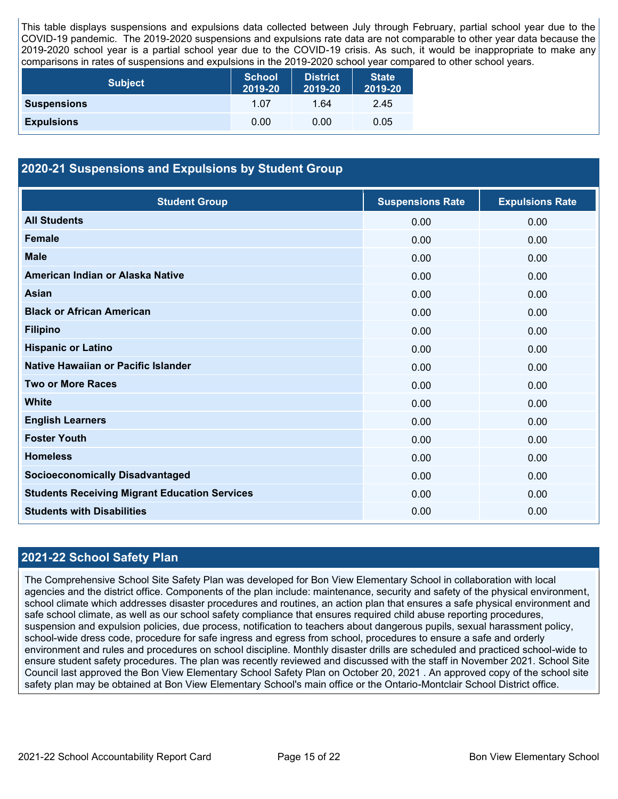This table displays suspensions and expulsions data collected between July through February, partial school year due to the COVID-19 pandemic. The 2019-2020 suspensions and expulsions rate data are not comparable to other year data because the 2019-2020 school year is a partial school year due to the COVID-19 crisis. As such, it would be inappropriate to make any comparisons in rates of suspensions and expulsions in the 2019-2020 school year compared to other school years.

| <b>Subject</b>     | <b>School</b><br>2019-20 | <b>District</b><br>2019-20 | <b>State</b><br>2019-20 |
|--------------------|--------------------------|----------------------------|-------------------------|
| <b>Suspensions</b> | 1.07                     | 1.64                       | 2.45                    |
| <b>Expulsions</b>  | 0.00                     | 0.00                       | 0.05                    |

#### **2020-21 Suspensions and Expulsions by Student Group**

| <b>Student Group</b>                                 | <b>Suspensions Rate</b> | <b>Expulsions Rate</b> |
|------------------------------------------------------|-------------------------|------------------------|
| <b>All Students</b>                                  | 0.00                    | 0.00                   |
| <b>Female</b>                                        | 0.00                    | 0.00                   |
| <b>Male</b>                                          | 0.00                    | 0.00                   |
| American Indian or Alaska Native                     | 0.00                    | 0.00                   |
| <b>Asian</b>                                         | 0.00                    | 0.00                   |
| <b>Black or African American</b>                     | 0.00                    | 0.00                   |
| <b>Filipino</b>                                      | 0.00                    | 0.00                   |
| <b>Hispanic or Latino</b>                            | 0.00                    | 0.00                   |
| Native Hawaiian or Pacific Islander                  | 0.00                    | 0.00                   |
| <b>Two or More Races</b>                             | 0.00                    | 0.00                   |
| <b>White</b>                                         | 0.00                    | 0.00                   |
| <b>English Learners</b>                              | 0.00                    | 0.00                   |
| <b>Foster Youth</b>                                  | 0.00                    | 0.00                   |
| <b>Homeless</b>                                      | 0.00                    | 0.00                   |
| <b>Socioeconomically Disadvantaged</b>               | 0.00                    | 0.00                   |
| <b>Students Receiving Migrant Education Services</b> | 0.00                    | 0.00                   |
| <b>Students with Disabilities</b>                    | 0.00                    | 0.00                   |

#### **2021-22 School Safety Plan**

The Comprehensive School Site Safety Plan was developed for Bon View Elementary School in collaboration with local agencies and the district office. Components of the plan include: maintenance, security and safety of the physical environment, school climate which addresses disaster procedures and routines, an action plan that ensures a safe physical environment and safe school climate, as well as our school safety compliance that ensures required child abuse reporting procedures, suspension and expulsion policies, due process, notification to teachers about dangerous pupils, sexual harassment policy, school-wide dress code, procedure for safe ingress and egress from school, procedures to ensure a safe and orderly environment and rules and procedures on school discipline. Monthly disaster drills are scheduled and practiced school-wide to ensure student safety procedures. The plan was recently reviewed and discussed with the staff in November 2021. School Site Council last approved the Bon View Elementary School Safety Plan on October 20, 2021 . An approved copy of the school site safety plan may be obtained at Bon View Elementary School's main office or the Ontario-Montclair School District office.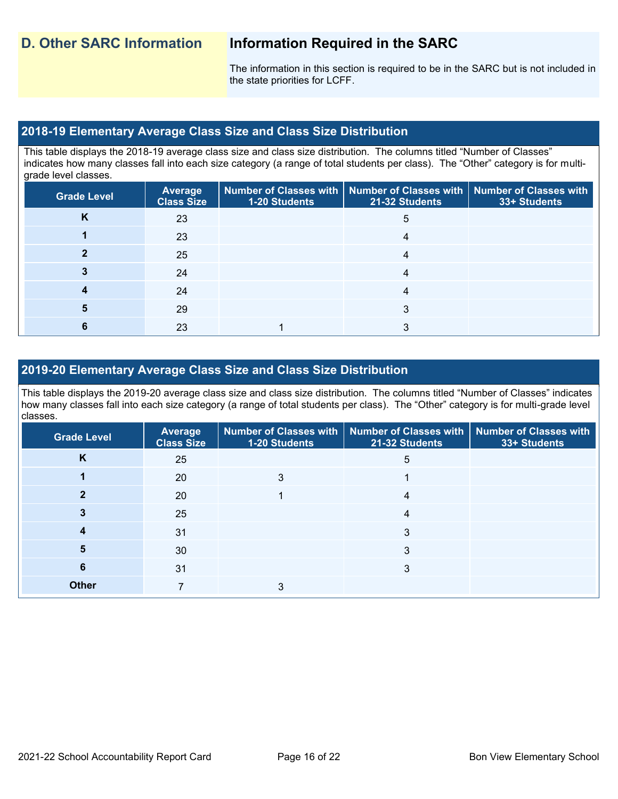The information in this section is required to be in the SARC but is not included in the state priorities for LCFF.

#### **2018-19 Elementary Average Class Size and Class Size Distribution**

This table displays the 2018-19 average class size and class size distribution. The columns titled "Number of Classes" indicates how many classes fall into each size category (a range of total students per class). The "Other" category is for multigrade level classes.

| <b>Grade Level</b> | Average<br><b>Class Size</b> | <b>1-20 Students</b> | $\mid$ Number of Classes with $\mid$ Number of Classes with $\mid$ Number of Classes with<br>21-32 Students | 33+ Students |
|--------------------|------------------------------|----------------------|-------------------------------------------------------------------------------------------------------------|--------------|
| Κ                  | 23                           |                      | 5                                                                                                           |              |
|                    | 23                           |                      |                                                                                                             |              |
|                    | 25                           |                      | 4                                                                                                           |              |
|                    | 24                           |                      |                                                                                                             |              |
|                    | 24                           |                      | 4                                                                                                           |              |
|                    | 29                           |                      | ◠                                                                                                           |              |
|                    | 23                           |                      |                                                                                                             |              |

#### **2019-20 Elementary Average Class Size and Class Size Distribution**

This table displays the 2019-20 average class size and class size distribution. The columns titled "Number of Classes" indicates how many classes fall into each size category (a range of total students per class). The "Other" category is for multi-grade level classes.

| <b>Grade Level</b> | Average<br><b>Class Size</b> | 1-20 Students | Number of Classes with   Number of Classes with   Number of Classes with<br>21-32 Students | 33+ Students |
|--------------------|------------------------------|---------------|--------------------------------------------------------------------------------------------|--------------|
| K                  | 25                           |               | 5                                                                                          |              |
|                    | 20                           | 3             |                                                                                            |              |
|                    | 20                           |               | 4                                                                                          |              |
|                    | 25                           |               | 4                                                                                          |              |
|                    | 31                           |               | 3                                                                                          |              |
| 5                  | 30                           |               | 3                                                                                          |              |
| 6                  | 31                           |               | 3                                                                                          |              |
| <b>Other</b>       |                              |               |                                                                                            |              |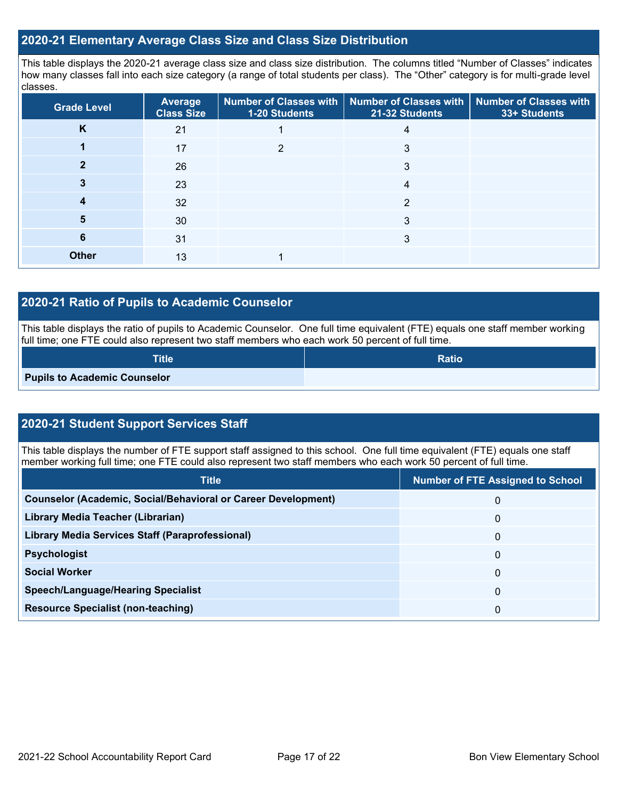#### **2020-21 Elementary Average Class Size and Class Size Distribution**

This table displays the 2020-21 average class size and class size distribution. The columns titled "Number of Classes" indicates how many classes fall into each size category (a range of total students per class). The "Other" category is for multi-grade level classes.

| <b>Grade Level</b> | Average<br><b>Class Size</b> | 1-20 Students | Number of Classes with   Number of Classes with  <br>21-32 Students | <b>Number of Classes with</b><br>33+ Students |
|--------------------|------------------------------|---------------|---------------------------------------------------------------------|-----------------------------------------------|
| K                  | 21                           |               | 4                                                                   |                                               |
|                    | 17                           | ົ             | 3                                                                   |                                               |
|                    | 26                           |               | 3                                                                   |                                               |
|                    | 23                           |               | 4                                                                   |                                               |
|                    | 32                           |               | 2                                                                   |                                               |
| 5                  | 30                           |               | 3                                                                   |                                               |
| 6                  | 31                           |               | 3                                                                   |                                               |
| <b>Other</b>       | 13                           |               |                                                                     |                                               |

#### **2020-21 Ratio of Pupils to Academic Counselor**

This table displays the ratio of pupils to Academic Counselor. One full time equivalent (FTE) equals one staff member working full time; one FTE could also represent two staff members who each work 50 percent of full time.

| <b>Title</b>                        | <b>Ratio</b> |
|-------------------------------------|--------------|
| <b>Pupils to Academic Counselor</b> |              |

#### **2020-21 Student Support Services Staff**

This table displays the number of FTE support staff assigned to this school. One full time equivalent (FTE) equals one staff member working full time; one FTE could also represent two staff members who each work 50 percent of full time.

| <b>Title</b>                                                         | <b>Number of FTE Assigned to School</b> |
|----------------------------------------------------------------------|-----------------------------------------|
| <b>Counselor (Academic, Social/Behavioral or Career Development)</b> | 0                                       |
| Library Media Teacher (Librarian)                                    | 0                                       |
| Library Media Services Staff (Paraprofessional)                      | 0                                       |
| <b>Psychologist</b>                                                  | 0                                       |
| <b>Social Worker</b>                                                 | 0                                       |
| <b>Speech/Language/Hearing Specialist</b>                            | 0                                       |
| <b>Resource Specialist (non-teaching)</b>                            | 0                                       |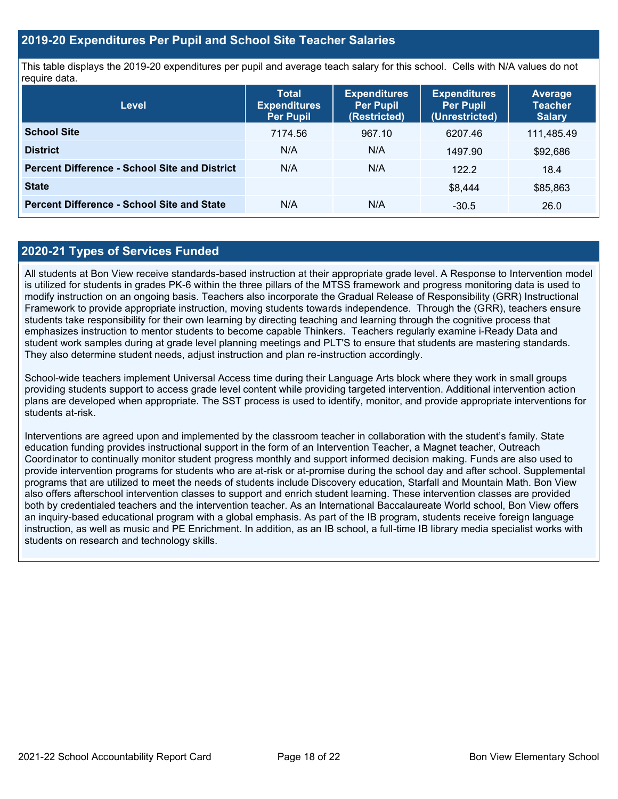#### **2019-20 Expenditures Per Pupil and School Site Teacher Salaries**

This table displays the 2019-20 expenditures per pupil and average teach salary for this school. Cells with N/A values do not require data.

| Level                                                | <b>Total</b><br><b>Expenditures</b><br><b>Per Pupil</b> | <b>Expenditures</b><br><b>Per Pupil</b><br>(Restricted) | <b>Expenditures</b><br><b>Per Pupil</b><br>(Unrestricted) | <b>Average</b><br><b>Teacher</b><br><b>Salary</b> |
|------------------------------------------------------|---------------------------------------------------------|---------------------------------------------------------|-----------------------------------------------------------|---------------------------------------------------|
| <b>School Site</b>                                   | 7174.56                                                 | 967.10                                                  | 6207.46                                                   | 111,485.49                                        |
| <b>District</b>                                      | N/A                                                     | N/A                                                     | 1497.90                                                   | \$92,686                                          |
| <b>Percent Difference - School Site and District</b> | N/A                                                     | N/A                                                     | 122.2                                                     | 18.4                                              |
| <b>State</b>                                         |                                                         |                                                         | \$8,444                                                   | \$85,863                                          |
| <b>Percent Difference - School Site and State</b>    | N/A                                                     | N/A                                                     | $-30.5$                                                   | 26.0                                              |

#### **2020-21 Types of Services Funded**

All students at Bon View receive standards-based instruction at their appropriate grade level. A Response to Intervention model is utilized for students in grades PK-6 within the three pillars of the MTSS framework and progress monitoring data is used to modify instruction on an ongoing basis. Teachers also incorporate the Gradual Release of Responsibility (GRR) Instructional Framework to provide appropriate instruction, moving students towards independence. Through the (GRR), teachers ensure students take responsibility for their own learning by directing teaching and learning through the cognitive process that emphasizes instruction to mentor students to become capable Thinkers. Teachers regularly examine i-Ready Data and student work samples during at grade level planning meetings and PLT'S to ensure that students are mastering standards. They also determine student needs, adjust instruction and plan re-instruction accordingly.

School-wide teachers implement Universal Access time during their Language Arts block where they work in small groups providing students support to access grade level content while providing targeted intervention. Additional intervention action plans are developed when appropriate. The SST process is used to identify, monitor, and provide appropriate interventions for students at-risk.

Interventions are agreed upon and implemented by the classroom teacher in collaboration with the student's family. State education funding provides instructional support in the form of an Intervention Teacher, a Magnet teacher, Outreach Coordinator to continually monitor student progress monthly and support informed decision making. Funds are also used to provide intervention programs for students who are at-risk or at-promise during the school day and after school. Supplemental programs that are utilized to meet the needs of students include Discovery education, Starfall and Mountain Math. Bon View also offers afterschool intervention classes to support and enrich student learning. These intervention classes are provided both by credentialed teachers and the intervention teacher. As an International Baccalaureate World school, Bon View offers an inquiry-based educational program with a global emphasis. As part of the IB program, students receive foreign language instruction, as well as music and PE Enrichment. In addition, as an IB school, a full-time IB library media specialist works with students on research and technology skills.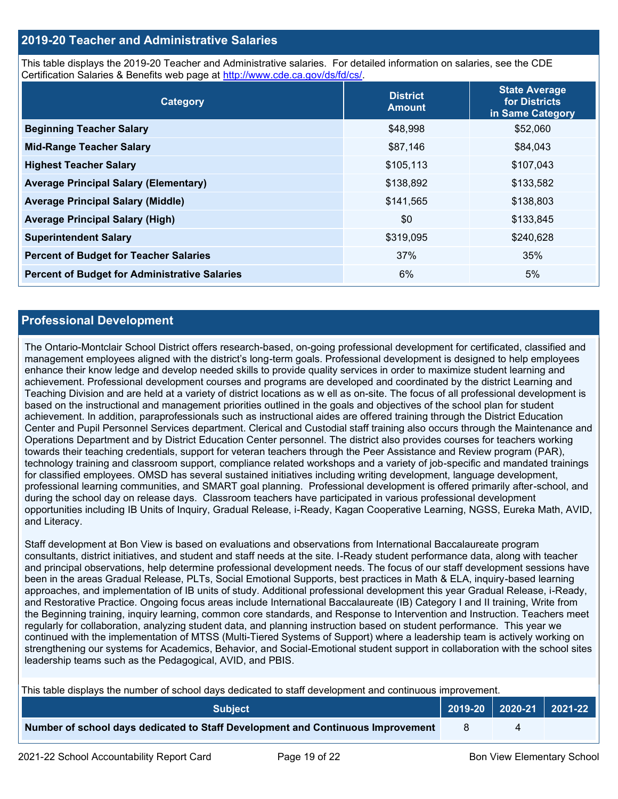#### **2019-20 Teacher and Administrative Salaries**

This table displays the 2019-20 Teacher and Administrative salaries. For detailed information on salaries, see the CDE Certification Salaries & Benefits web page at [http://www.cde.ca.gov/ds/fd/cs/.](http://www.cde.ca.gov/ds/fd/cs/)

| Category                                             | <b>District</b><br><b>Amount</b> | <b>State Average</b><br>for Districts<br>in Same Category |
|------------------------------------------------------|----------------------------------|-----------------------------------------------------------|
| <b>Beginning Teacher Salary</b>                      | \$48,998                         | \$52,060                                                  |
| <b>Mid-Range Teacher Salary</b>                      | \$87,146                         | \$84,043                                                  |
| <b>Highest Teacher Salary</b>                        | \$105,113                        | \$107,043                                                 |
| <b>Average Principal Salary (Elementary)</b>         | \$138,892                        | \$133,582                                                 |
| <b>Average Principal Salary (Middle)</b>             | \$141,565                        | \$138,803                                                 |
| <b>Average Principal Salary (High)</b>               | \$0                              | \$133,845                                                 |
| <b>Superintendent Salary</b>                         | \$319,095                        | \$240,628                                                 |
| <b>Percent of Budget for Teacher Salaries</b>        | 37%                              | 35%                                                       |
| <b>Percent of Budget for Administrative Salaries</b> | 6%                               | 5%                                                        |

#### **Professional Development**

The Ontario-Montclair School District offers research-based, on-going professional development for certificated, classified and management employees aligned with the district's long-term goals. Professional development is designed to help employees enhance their know ledge and develop needed skills to provide quality services in order to maximize student learning and achievement. Professional development courses and programs are developed and coordinated by the district Learning and Teaching Division and are held at a variety of district locations as w ell as on-site. The focus of all professional development is based on the instructional and management priorities outlined in the goals and objectives of the school plan for student achievement. In addition, paraprofessionals such as instructional aides are offered training through the District Education Center and Pupil Personnel Services department. Clerical and Custodial staff training also occurs through the Maintenance and Operations Department and by District Education Center personnel. The district also provides courses for teachers working towards their teaching credentials, support for veteran teachers through the Peer Assistance and Review program (PAR), technology training and classroom support, compliance related workshops and a variety of job-specific and mandated trainings for classified employees. OMSD has several sustained initiatives including writing development, language development, professional learning communities, and SMART goal planning. Professional development is offered primarily after-school, and during the school day on release days. Classroom teachers have participated in various professional development opportunities including IB Units of Inquiry, Gradual Release, i-Ready, Kagan Cooperative Learning, NGSS, Eureka Math, AVID, and Literacy.

Staff development at Bon View is based on evaluations and observations from International Baccalaureate program consultants, district initiatives, and student and staff needs at the site. I-Ready student performance data, along with teacher and principal observations, help determine professional development needs. The focus of our staff development sessions have been in the areas Gradual Release, PLTs, Social Emotional Supports, best practices in Math & ELA, inquiry-based learning approaches, and implementation of IB units of study. Additional professional development this year Gradual Release, i-Ready, and Restorative Practice. Ongoing focus areas include International Baccalaureate (IB) Category I and II training, Write from the Beginning training, inquiry learning, common core standards, and Response to Intervention and Instruction. Teachers meet regularly for collaboration, analyzing student data, and planning instruction based on student performance. This year we continued with the implementation of MTSS (Multi-Tiered Systems of Support) where a leadership team is actively working on strengthening our systems for Academics, Behavior, and Social-Emotional student support in collaboration with the school sites leadership teams such as the Pedagogical, AVID, and PBIS.

This table displays the number of school days dedicated to staff development and continuous improvement.

| <b>Subiect</b>                                                                  |  | 2019-20   2020-21   2021-22 |
|---------------------------------------------------------------------------------|--|-----------------------------|
| Number of school days dedicated to Staff Development and Continuous Improvement |  |                             |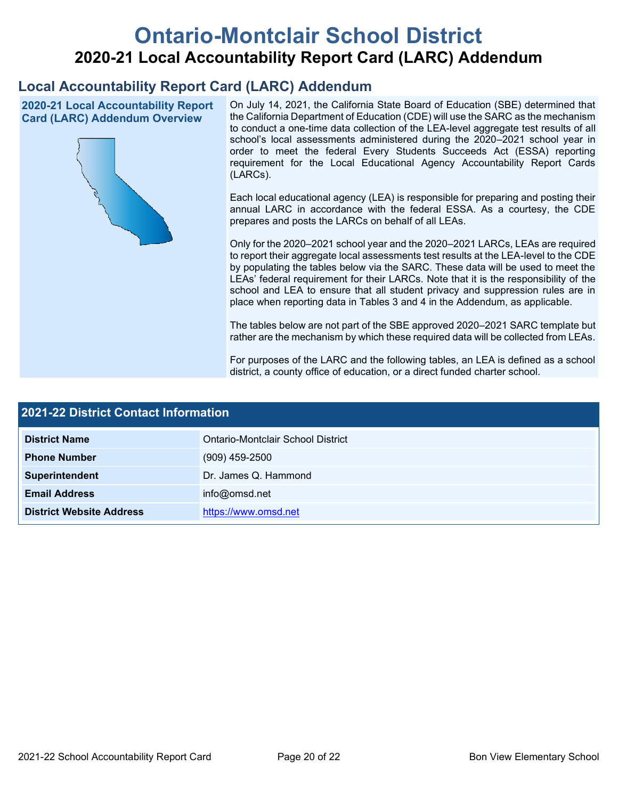# **Ontario-Montclair School District 2020-21 Local Accountability Report Card (LARC) Addendum**

### **Local Accountability Report Card (LARC) Addendum**

**2020-21 Local Accountability Report Card (LARC) Addendum Overview**



On July 14, 2021, the California State Board of Education (SBE) determined that the California Department of Education (CDE) will use the SARC as the mechanism to conduct a one-time data collection of the LEA-level aggregate test results of all school's local assessments administered during the 2020–2021 school year in order to meet the federal Every Students Succeeds Act (ESSA) reporting requirement for the Local Educational Agency Accountability Report Cards (LARCs).

Each local educational agency (LEA) is responsible for preparing and posting their annual LARC in accordance with the federal ESSA. As a courtesy, the CDE prepares and posts the LARCs on behalf of all LEAs.

Only for the 2020–2021 school year and the 2020–2021 LARCs, LEAs are required to report their aggregate local assessments test results at the LEA-level to the CDE by populating the tables below via the SARC. These data will be used to meet the LEAs' federal requirement for their LARCs. Note that it is the responsibility of the school and LEA to ensure that all student privacy and suppression rules are in place when reporting data in Tables 3 and 4 in the Addendum, as applicable.

The tables below are not part of the SBE approved 2020–2021 SARC template but rather are the mechanism by which these required data will be collected from LEAs.

For purposes of the LARC and the following tables, an LEA is defined as a school district, a county office of education, or a direct funded charter school.

| 2021-22 District Contact Information |                                   |  |
|--------------------------------------|-----------------------------------|--|
| <b>District Name</b>                 | Ontario-Montclair School District |  |
| <b>Phone Number</b>                  | $(909)$ 459-2500                  |  |
| Superintendent                       | Dr. James Q. Hammond              |  |
| <b>Email Address</b>                 | info@omsd.net                     |  |
| <b>District Website Address</b>      | https://www.omsd.net              |  |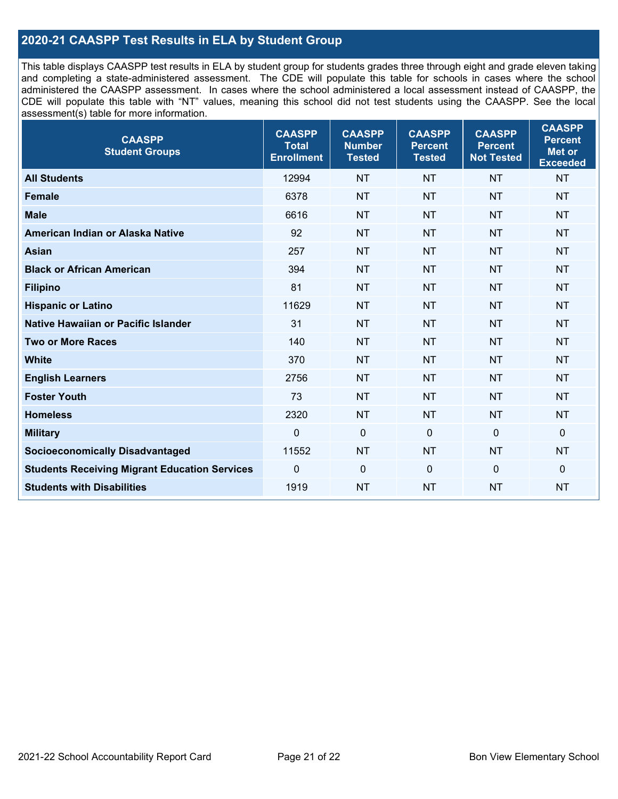#### **2020-21 CAASPP Test Results in ELA by Student Group**

This table displays CAASPP test results in ELA by student group for students grades three through eight and grade eleven taking and completing a state-administered assessment. The CDE will populate this table for schools in cases where the school administered the CAASPP assessment. In cases where the school administered a local assessment instead of CAASPP, the CDE will populate this table with "NT" values, meaning this school did not test students using the CAASPP. See the local assessment(s) table for more information.

| <b>CAASPP</b><br><b>Student Groups</b>               | <b>CAASPP</b><br><b>Total</b><br><b>Enrollment</b> | <b>CAASPP</b><br><b>Number</b><br><b>Tested</b> | <b>CAASPP</b><br><b>Percent</b><br><b>Tested</b> | <b>CAASPP</b><br><b>Percent</b><br><b>Not Tested</b> | <b>CAASPP</b><br><b>Percent</b><br>Met or<br><b>Exceeded</b> |
|------------------------------------------------------|----------------------------------------------------|-------------------------------------------------|--------------------------------------------------|------------------------------------------------------|--------------------------------------------------------------|
| <b>All Students</b>                                  | 12994                                              | <b>NT</b>                                       | <b>NT</b>                                        | <b>NT</b>                                            | <b>NT</b>                                                    |
| <b>Female</b>                                        | 6378                                               | <b>NT</b>                                       | <b>NT</b>                                        | <b>NT</b>                                            | <b>NT</b>                                                    |
| <b>Male</b>                                          | 6616                                               | <b>NT</b>                                       | <b>NT</b>                                        | <b>NT</b>                                            | <b>NT</b>                                                    |
| American Indian or Alaska Native                     | 92                                                 | <b>NT</b>                                       | <b>NT</b>                                        | <b>NT</b>                                            | <b>NT</b>                                                    |
| <b>Asian</b>                                         | 257                                                | <b>NT</b>                                       | <b>NT</b>                                        | <b>NT</b>                                            | <b>NT</b>                                                    |
| <b>Black or African American</b>                     | 394                                                | <b>NT</b>                                       | <b>NT</b>                                        | <b>NT</b>                                            | <b>NT</b>                                                    |
| <b>Filipino</b>                                      | 81                                                 | <b>NT</b>                                       | <b>NT</b>                                        | <b>NT</b>                                            | <b>NT</b>                                                    |
| <b>Hispanic or Latino</b>                            | 11629                                              | <b>NT</b>                                       | <b>NT</b>                                        | <b>NT</b>                                            | <b>NT</b>                                                    |
| <b>Native Hawaiian or Pacific Islander</b>           | 31                                                 | <b>NT</b>                                       | <b>NT</b>                                        | <b>NT</b>                                            | <b>NT</b>                                                    |
| <b>Two or More Races</b>                             | 140                                                | <b>NT</b>                                       | <b>NT</b>                                        | <b>NT</b>                                            | <b>NT</b>                                                    |
| <b>White</b>                                         | 370                                                | <b>NT</b>                                       | <b>NT</b>                                        | <b>NT</b>                                            | <b>NT</b>                                                    |
| <b>English Learners</b>                              | 2756                                               | <b>NT</b>                                       | <b>NT</b>                                        | <b>NT</b>                                            | <b>NT</b>                                                    |
| <b>Foster Youth</b>                                  | 73                                                 | <b>NT</b>                                       | <b>NT</b>                                        | <b>NT</b>                                            | <b>NT</b>                                                    |
| <b>Homeless</b>                                      | 2320                                               | <b>NT</b>                                       | <b>NT</b>                                        | <b>NT</b>                                            | <b>NT</b>                                                    |
| <b>Military</b>                                      | $\mathbf 0$                                        | $\mathbf 0$                                     | $\mathbf 0$                                      | $\mathbf 0$                                          | 0                                                            |
| <b>Socioeconomically Disadvantaged</b>               | 11552                                              | <b>NT</b>                                       | <b>NT</b>                                        | <b>NT</b>                                            | <b>NT</b>                                                    |
| <b>Students Receiving Migrant Education Services</b> | 0                                                  | $\mathbf 0$                                     | $\mathbf{0}$                                     | $\mathbf 0$                                          | 0                                                            |
| <b>Students with Disabilities</b>                    | 1919                                               | <b>NT</b>                                       | <b>NT</b>                                        | <b>NT</b>                                            | <b>NT</b>                                                    |